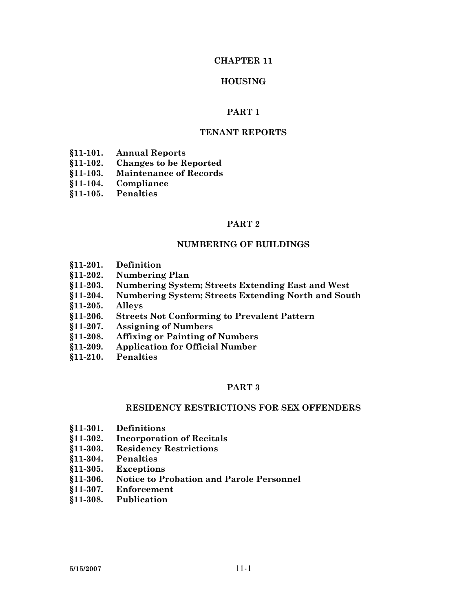#### **CHAPTER 11**

#### **HOUSING**

#### **PART 1**

### **TENANT REPORTS**

- **§11-101. Annual Reports**
- **§11-102. Changes to be Reported**
- **§11-103. Maintenance of Records**
- **§11-104. Compliance**
- **§11-105. Penalties**

#### **PART 2**

#### **NUMBERING OF BUILDINGS**

- **§11-201. Definition**
- **§11-202. Numbering Plan**
- **§11-203. Numbering System; Streets Extending East and West**
- **§11-204. Numbering System; Streets Extending North and South**
- **§11-205. Alleys**
- **§11-206. Streets Not Conforming to Prevalent Pattern**
- **§11-207. Assigning of Numbers**
- **§11-208. Affixing or Painting of Numbers**
- **§11-209. Application for Official Number**
- **§11-210. Penalties**

#### **PART 3**

#### **RESIDENCY RESTRICTIONS FOR SEX OFFENDERS**

- **§11-301. Definitions**
- **§11-302. Incorporation of Recitals**
- **§11-303. Residency Restrictions**
- **§11-304. Penalties**
- **§11-305. Exceptions**
- **§11-306. Notice to Probation and Parole Personnel**
- **§11-307. Enforcement**
- **§11-308. Publication**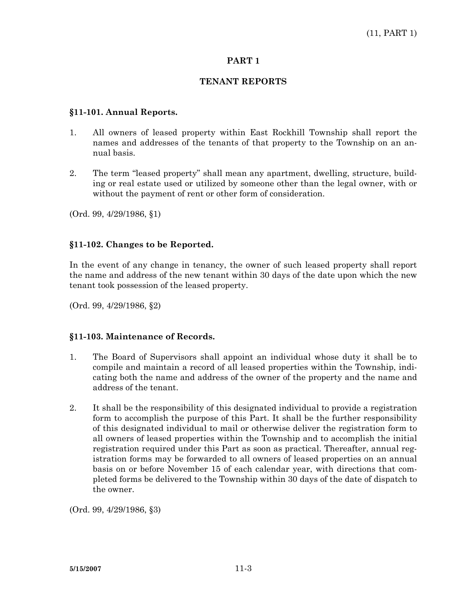# **PART 1**

### **TENANT REPORTS**

#### **§11-101. Annual Reports.**

- 1. All owners of leased property within East Rockhill Township shall report the names and addresses of the tenants of that property to the Township on an annual basis.
- 2. The term "leased property" shall mean any apartment, dwelling, structure, building or real estate used or utilized by someone other than the legal owner, with or without the payment of rent or other form of consideration.

(Ord. 99, 4/29/1986, §1)

### **§11-102. Changes to be Reported.**

In the event of any change in tenancy, the owner of such leased property shall report the name and address of the new tenant within 30 days of the date upon which the new tenant took possession of the leased property.

(Ord. 99, 4/29/1986, §2)

#### **§11-103. Maintenance of Records.**

- 1. The Board of Supervisors shall appoint an individual whose duty it shall be to compile and maintain a record of all leased properties within the Township, indicating both the name and address of the owner of the property and the name and address of the tenant.
- 2. It shall be the responsibility of this designated individual to provide a registration form to accomplish the purpose of this Part. It shall be the further responsibility of this designated individual to mail or otherwise deliver the registration form to all owners of leased properties within the Township and to accomplish the initial registration required under this Part as soon as practical. Thereafter, annual registration forms may be forwarded to all owners of leased properties on an annual basis on or before November 15 of each calendar year, with directions that completed forms be delivered to the Township within 30 days of the date of dispatch to the owner.

(Ord. 99, 4/29/1986, §3)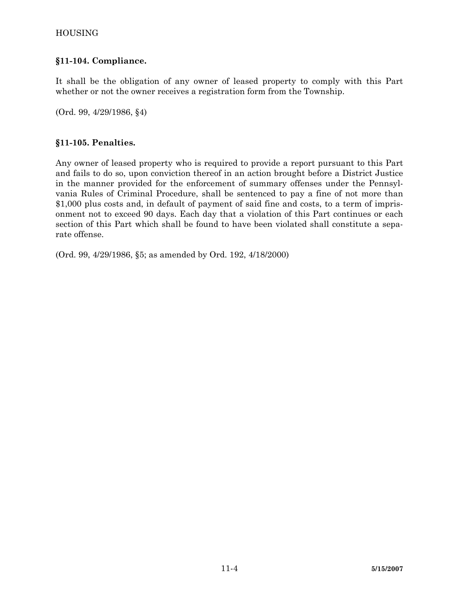# **§11-104. Compliance.**

It shall be the obligation of any owner of leased property to comply with this Part whether or not the owner receives a registration form from the Township.

(Ord. 99, 4/29/1986, §4)

# **§11-105. Penalties.**

Any owner of leased property who is required to provide a report pursuant to this Part and fails to do so, upon conviction thereof in an action brought before a District Justice in the manner provided for the enforcement of summary offenses under the Pennsylvania Rules of Criminal Procedure, shall be sentenced to pay a fine of not more than \$1,000 plus costs and, in default of payment of said fine and costs, to a term of imprisonment not to exceed 90 days. Each day that a violation of this Part continues or each section of this Part which shall be found to have been violated shall constitute a separate offense.

(Ord. 99, 4/29/1986, §5; as amended by Ord. 192, 4/18/2000)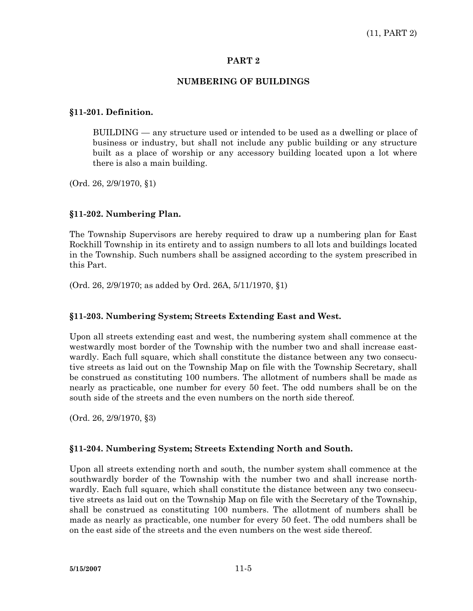### **PART 2**

# **NUMBERING OF BUILDINGS**

# **§11-201. Definition.**

 BUILDING — any structure used or intended to be used as a dwelling or place of business or industry, but shall not include any public building or any structure built as a place of worship or any accessory building located upon a lot where there is also a main building.

(Ord. 26, 2/9/1970, §1)

# **§11-202. Numbering Plan.**

The Township Supervisors are hereby required to draw up a numbering plan for East Rockhill Township in its entirety and to assign numbers to all lots and buildings located in the Township. Such numbers shall be assigned according to the system prescribed in this Part.

(Ord. 26, 2/9/1970; as added by Ord. 26A, 5/11/1970, §1)

#### **§11-203. Numbering System; Streets Extending East and West.**

Upon all streets extending east and west, the numbering system shall commence at the westwardly most border of the Township with the number two and shall increase eastwardly. Each full square, which shall constitute the distance between any two consecutive streets as laid out on the Township Map on file with the Township Secretary, shall be construed as constituting 100 numbers. The allotment of numbers shall be made as nearly as practicable, one number for every 50 feet. The odd numbers shall be on the south side of the streets and the even numbers on the north side thereof.

(Ord. 26, 2/9/1970, §3)

# **§11-204. Numbering System; Streets Extending North and South.**

Upon all streets extending north and south, the number system shall commence at the southwardly border of the Township with the number two and shall increase northwardly. Each full square, which shall constitute the distance between any two consecutive streets as laid out on the Township Map on file with the Secretary of the Township, shall be construed as constituting 100 numbers. The allotment of numbers shall be made as nearly as practicable, one number for every 50 feet. The odd numbers shall be on the east side of the streets and the even numbers on the west side thereof.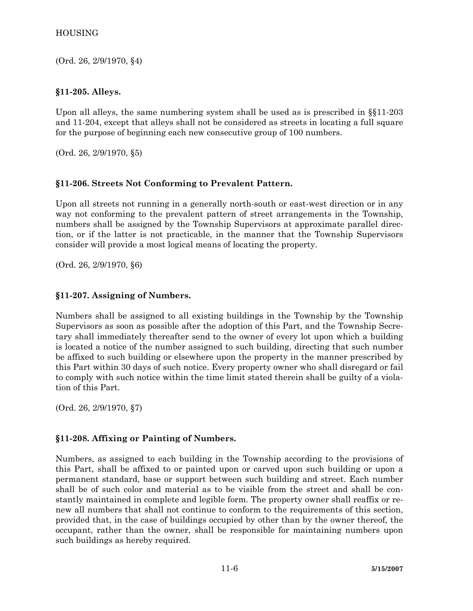# HOUSING

(Ord. 26, 2/9/1970, §4)

# **§11-205. Alleys.**

Upon all alleys, the same numbering system shall be used as is prescribed in §§11-203 and 11-204, except that alleys shall not be considered as streets in locating a full square for the purpose of beginning each new consecutive group of 100 numbers.

(Ord. 26, 2/9/1970, §5)

# **§11-206. Streets Not Conforming to Prevalent Pattern.**

Upon all streets not running in a generally north-south or east-west direction or in any way not conforming to the prevalent pattern of street arrangements in the Township, numbers shall be assigned by the Township Supervisors at approximate parallel direction, or if the latter is not practicable, in the manner that the Township Supervisors consider will provide a most logical means of locating the property.

(Ord. 26, 2/9/1970, §6)

# **§11-207. Assigning of Numbers.**

Numbers shall be assigned to all existing buildings in the Township by the Township Supervisors as soon as possible after the adoption of this Part, and the Township Secretary shall immediately thereafter send to the owner of every lot upon which a building is located a notice of the number assigned to such building, directing that such number be affixed to such building or elsewhere upon the property in the manner prescribed by this Part within 30 days of such notice. Every property owner who shall disregard or fail to comply with such notice within the time limit stated therein shall be guilty of a violation of this Part.

(Ord. 26, 2/9/1970, §7)

# **§11-208. Affixing or Painting of Numbers.**

Numbers, as assigned to each building in the Township according to the provisions of this Part, shall be affixed to or painted upon or carved upon such building or upon a permanent standard, base or support between such building and street. Each number shall be of such color and material as to be visible from the street and shall be constantly maintained in complete and legible form. The property owner shall reaffix or renew all numbers that shall not continue to conform to the requirements of this section, provided that, in the case of buildings occupied by other than by the owner thereof, the occupant, rather than the owner, shall be responsible for maintaining numbers upon such buildings as hereby required.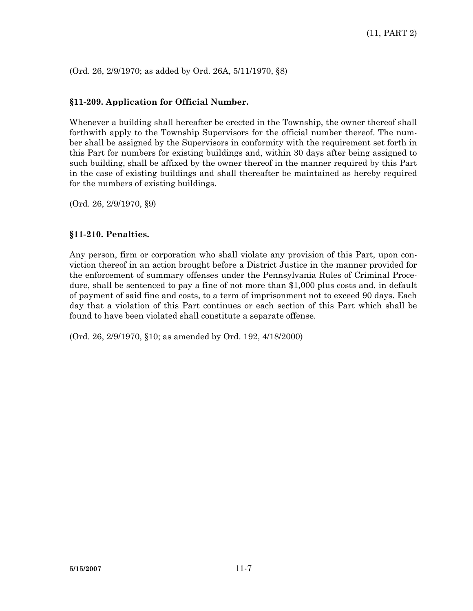(Ord. 26, 2/9/1970; as added by Ord. 26A, 5/11/1970, §8)

# **§11-209. Application for Official Number.**

Whenever a building shall hereafter be erected in the Township, the owner thereof shall forthwith apply to the Township Supervisors for the official number thereof. The number shall be assigned by the Supervisors in conformity with the requirement set forth in this Part for numbers for existing buildings and, within 30 days after being assigned to such building, shall be affixed by the owner thereof in the manner required by this Part in the case of existing buildings and shall thereafter be maintained as hereby required for the numbers of existing buildings.

(Ord. 26, 2/9/1970, §9)

#### **§11-210. Penalties.**

Any person, firm or corporation who shall violate any provision of this Part, upon conviction thereof in an action brought before a District Justice in the manner provided for the enforcement of summary offenses under the Pennsylvania Rules of Criminal Procedure, shall be sentenced to pay a fine of not more than \$1,000 plus costs and, in default of payment of said fine and costs, to a term of imprisonment not to exceed 90 days. Each day that a violation of this Part continues or each section of this Part which shall be found to have been violated shall constitute a separate offense.

(Ord. 26, 2/9/1970, §10; as amended by Ord. 192, 4/18/2000)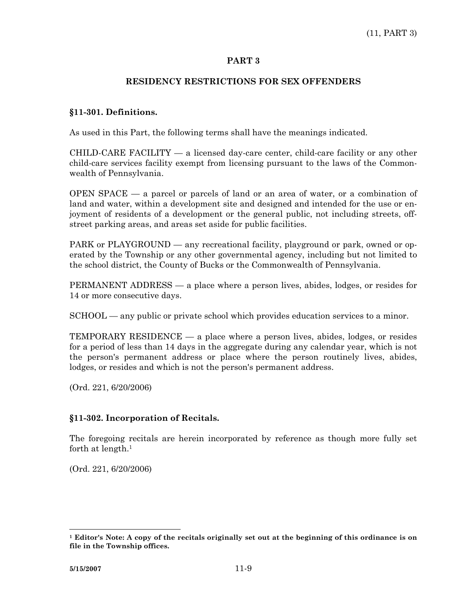# **PART 3**

### **RESIDENCY RESTRICTIONS FOR SEX OFFENDERS**

### **§11-301. Definitions.**

As used in this Part, the following terms shall have the meanings indicated.

CHILD-CARE FACILITY — a licensed day-care center, child-care facility or any other child-care services facility exempt from licensing pursuant to the laws of the Commonwealth of Pennsylvania.

OPEN SPACE — a parcel or parcels of land or an area of water, or a combination of land and water, within a development site and designed and intended for the use or enjoyment of residents of a development or the general public, not including streets, offstreet parking areas, and areas set aside for public facilities.

PARK or PLAYGROUND — any recreational facility, playground or park, owned or operated by the Township or any other governmental agency, including but not limited to the school district, the County of Bucks or the Commonwealth of Pennsylvania.

PERMANENT ADDRESS — a place where a person lives, abides, lodges, or resides for 14 or more consecutive days.

SCHOOL — any public or private school which provides education services to a minor.

TEMPORARY RESIDENCE — a place where a person lives, abides, lodges, or resides for a period of less than 14 days in the aggregate during any calendar year, which is not the person's permanent address or place where the person routinely lives, abides, lodges, or resides and which is not the person's permanent address.

(Ord. 221, 6/20/2006)

# **§11-302. Incorporation of Recitals.**

The foregoing recitals are herein incorporated by reference as though more fully set forth at length.<sup>1</sup>

(Ord. 221, 6/20/2006)

 $\overline{a}$ 

**<sup>1</sup> Editor's Note: A copy of the recitals originally set out at the beginning of this ordinance is on file in the Township offices.**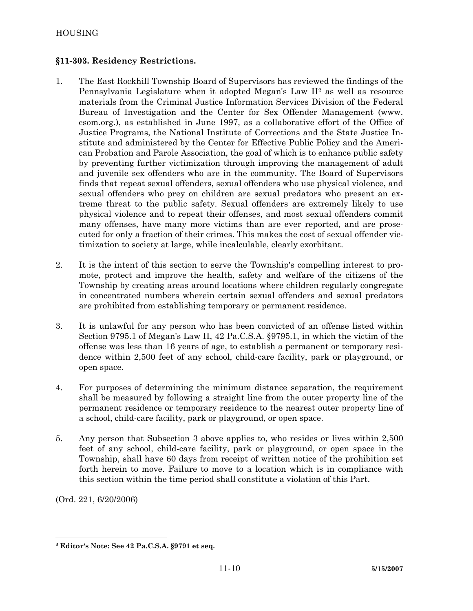# **§11-303. Residency Restrictions.**

- 1. The East Rockhill Township Board of Supervisors has reviewed the findings of the Pennsylvania Legislature when it adopted Megan's Law II2 as well as resource materials from the Criminal Justice Information Services Division of the Federal Bureau of Investigation and the Center for Sex Offender Management (www. csom.org.), as established in June 1997, as a collaborative effort of the Office of Justice Programs, the National Institute of Corrections and the State Justice Institute and administered by the Center for Effective Public Policy and the American Probation and Parole Association, the goal of which is to enhance public safety by preventing further victimization through improving the management of adult and juvenile sex offenders who are in the community. The Board of Supervisors finds that repeat sexual offenders, sexual offenders who use physical violence, and sexual offenders who prey on children are sexual predators who present an extreme threat to the public safety. Sexual offenders are extremely likely to use physical violence and to repeat their offenses, and most sexual offenders commit many offenses, have many more victims than are ever reported, and are prosecuted for only a fraction of their crimes. This makes the cost of sexual offender victimization to society at large, while incalculable, clearly exorbitant.
- 2. It is the intent of this section to serve the Township's compelling interest to promote, protect and improve the health, safety and welfare of the citizens of the Township by creating areas around locations where children regularly congregate in concentrated numbers wherein certain sexual offenders and sexual predators are prohibited from establishing temporary or permanent residence.
- 3. It is unlawful for any person who has been convicted of an offense listed within Section 9795.1 of Megan's Law II, 42 Pa.C.S.A. §9795.1, in which the victim of the offense was less than 16 years of age, to establish a permanent or temporary residence within 2,500 feet of any school, child-care facility, park or playground, or open space.
- 4. For purposes of determining the minimum distance separation, the requirement shall be measured by following a straight line from the outer property line of the permanent residence or temporary residence to the nearest outer property line of a school, child-care facility, park or playground, or open space.
- 5. Any person that Subsection 3 above applies to, who resides or lives within 2,500 feet of any school, child-care facility, park or playground, or open space in the Township, shall have 60 days from receipt of written notice of the prohibition set forth herein to move. Failure to move to a location which is in compliance with this section within the time period shall constitute a violation of this Part.

(Ord. 221, 6/20/2006)

 **2 Editor's Note: See 42 Pa.C.S.A. §9791 et seq.**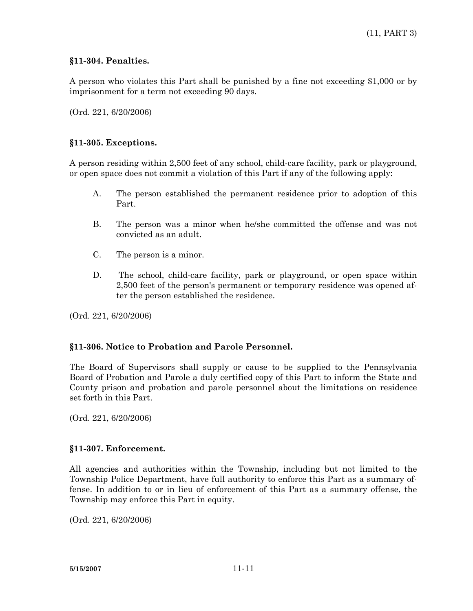# **§11-304. Penalties.**

A person who violates this Part shall be punished by a fine not exceeding \$1,000 or by imprisonment for a term not exceeding 90 days.

(Ord. 221, 6/20/2006)

# **§11-305. Exceptions.**

A person residing within 2,500 feet of any school, child-care facility, park or playground, or open space does not commit a violation of this Part if any of the following apply:

- A. The person established the permanent residence prior to adoption of this Part.
- B. The person was a minor when he/she committed the offense and was not convicted as an adult.
- C. The person is a minor.
- D. The school, child-care facility, park or playground, or open space within 2,500 feet of the person's permanent or temporary residence was opened after the person established the residence.

(Ord. 221, 6/20/2006)

# **§11-306. Notice to Probation and Parole Personnel.**

The Board of Supervisors shall supply or cause to be supplied to the Pennsylvania Board of Probation and Parole a duly certified copy of this Part to inform the State and County prison and probation and parole personnel about the limitations on residence set forth in this Part.

(Ord. 221, 6/20/2006)

# **§11-307. Enforcement.**

All agencies and authorities within the Township, including but not limited to the Township Police Department, have full authority to enforce this Part as a summary offense. In addition to or in lieu of enforcement of this Part as a summary offense, the Township may enforce this Part in equity.

(Ord. 221, 6/20/2006)